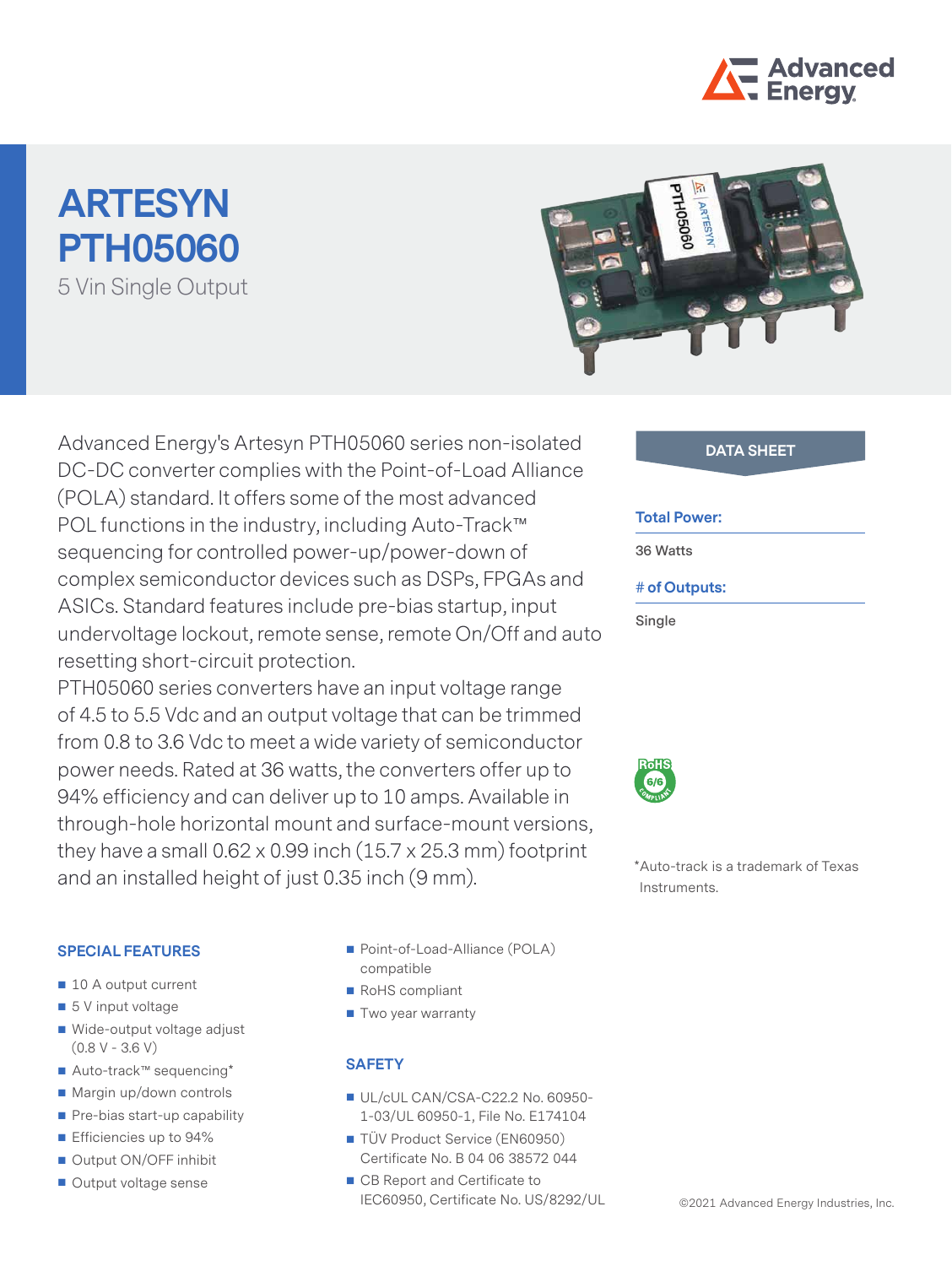

# **ARTESYN PTH05060** 5 Vin Single Output



Advanced Energy's Artesyn PTH05060 series non-isolated **DATA SHEET** DC-DC converter complies with the Point-of-Load Alliance (POLA) standard. It offers some of the most advanced POL functions in the industry, including Auto-Track™ sequencing for controlled power-up/power-down of complex semiconductor devices such as DSPs, FPGAs and ASICs. Standard features include pre-bias startup, input undervoltage lockout, remote sense, remote On/Off and auto resetting short-circuit protection.

PTH05060 series converters have an input voltage range of 4.5 to 5.5 Vdc and an output voltage that can be trimmed from 0.8 to 3.6 Vdc to meet a wide variety of semiconductor power needs. Rated at 36 watts, the converters offer up to 94% efficiency and can deliver up to 10 amps. Available in through-hole horizontal mount and surface-mount versions, they have a small  $0.62 \times 0.99$  inch  $(15.7 \times 25.3 \text{ mm})$  footprint and an installed height of just 0.35 inch (9 mm).

#### **SPECIAL FEATURES**

- 10 A output current
- $\blacksquare$  5 V input voltage
- Wide-output voltage adjust  $(0.8 V - 3.6 V)$
- Auto-track™ sequencing\*
- Margin up/down controls
- Pre-bias start-up capability
- **Efficiencies up to 94%**
- Output ON/OFF inhibit
- Output voltage sense
- Point-of-Load-Alliance (POLA) compatible
- RoHS compliant
- Two year warranty

#### **SAFETY**

- UL/cUL CAN/CSA-C22.2 No. 60950-1-03/UL 60950-1, File No. E174104
- TÜV Product Service (EN60950) Certificate No. B 04 06 38572 044
- CB Report and Certificate to IEC60950, Certificate No. US/8292/UL

#### **Total Power:**

**36 Watts**

#### **# of Outputs:**

**Single**



\*Auto-track is a trademark of Texas Instruments.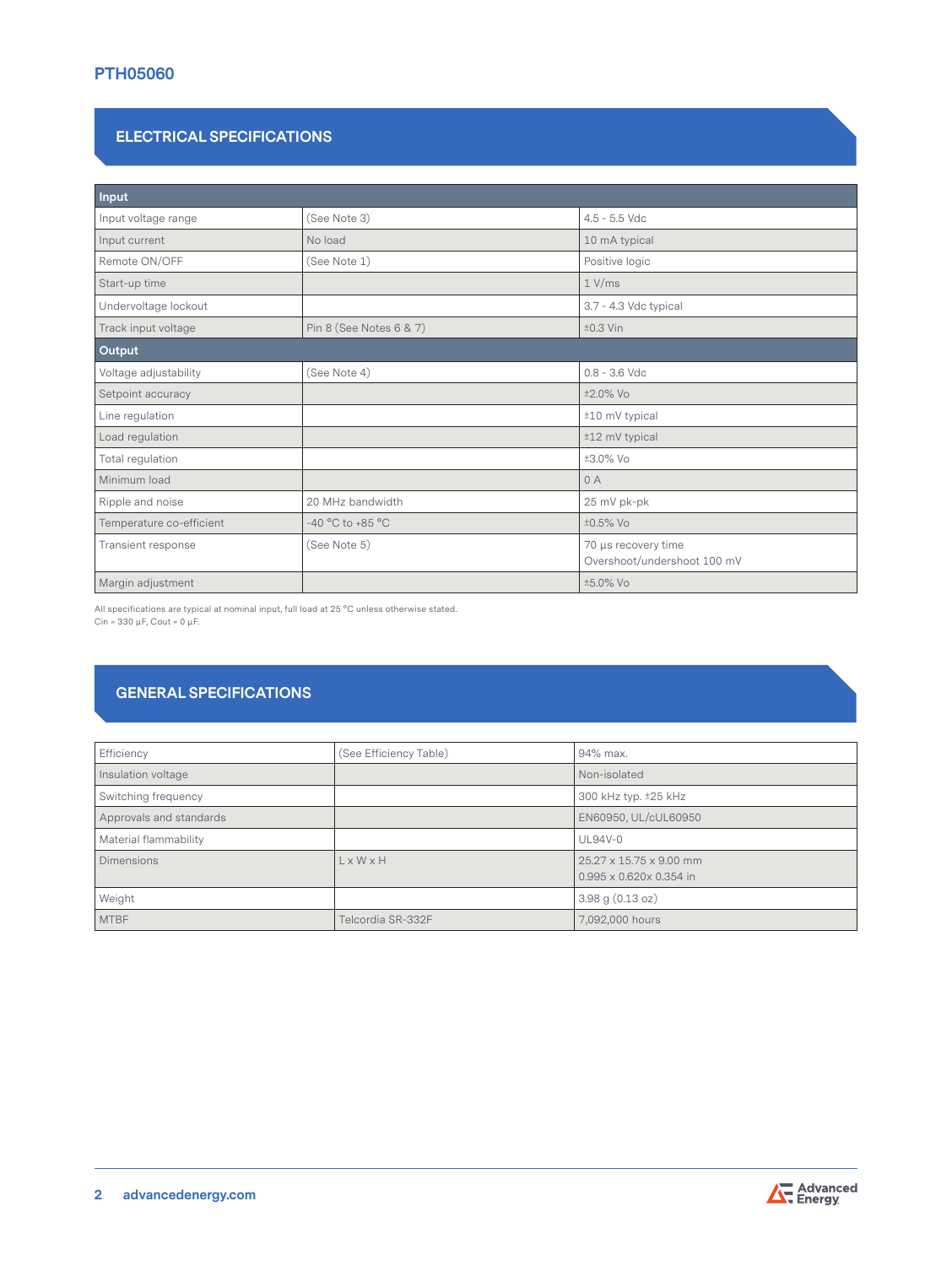## **PTH05060**

### **ELECTRICAL SPECIFICATIONS**

| Input                    |                         |                                                    |  |
|--------------------------|-------------------------|----------------------------------------------------|--|
| Input voltage range      | (See Note 3)            | $4.5 - 5.5$ Vdc                                    |  |
| Input current            | No load                 | 10 mA typical                                      |  |
| Remote ON/OFF            | (See Note 1)            | Positive logic                                     |  |
| Start-up time            |                         | 1 V/ms                                             |  |
| Undervoltage lockout     |                         | 3.7 - 4.3 Vdc typical                              |  |
| Track input voltage      | Pin 8 (See Notes 6 & 7) | $±0.3$ Vin                                         |  |
| Output                   |                         |                                                    |  |
| Voltage adjustability    | (See Note 4)            | $0.8 - 3.6$ Vdc                                    |  |
| Setpoint accuracy        |                         | ±2.0% Vo                                           |  |
| Line regulation          |                         | ±10 mV typical                                     |  |
| Load regulation          |                         | ±12 mV typical                                     |  |
| Total regulation         |                         | ±3.0% Vo                                           |  |
| Minimum load             |                         | 0A                                                 |  |
| Ripple and noise         | 20 MHz bandwidth        | 25 mV pk-pk                                        |  |
| Temperature co-efficient | -40 °C to +85 °C        | ±0.5% Vo                                           |  |
| Transient response       | (See Note 5)            | 70 µs recovery time<br>Overshoot/undershoot 100 mV |  |
| Margin adjustment        |                         | ±5.0% Vo                                           |  |

All specifications are typical at nominal input, full load at 25 °C unless otherwise stated. Cin = 330 μF, Cout = 0 μF.

# **GENERAL SPECIFICATIONS**

| Efficiency              | (See Efficiency Table) | 94% max.                                           |
|-------------------------|------------------------|----------------------------------------------------|
| Insulation voltage      |                        | Non-isolated                                       |
| Switching frequency     |                        | 300 kHz typ. ±25 kHz                               |
| Approvals and standards |                        | EN60950, UL/cUL60950                               |
| Material flammability   |                        | <b>UL94V-0</b>                                     |
| <b>Dimensions</b>       | L x W x H              | 25.27 x 15.75 x 9.00 mm<br>0.995 x 0.620x 0.354 in |
| Weight                  |                        | $3.98$ g $(0.13$ oz)                               |
| <b>MTBF</b>             | Telcordia SR-332F      | 7,092,000 hours                                    |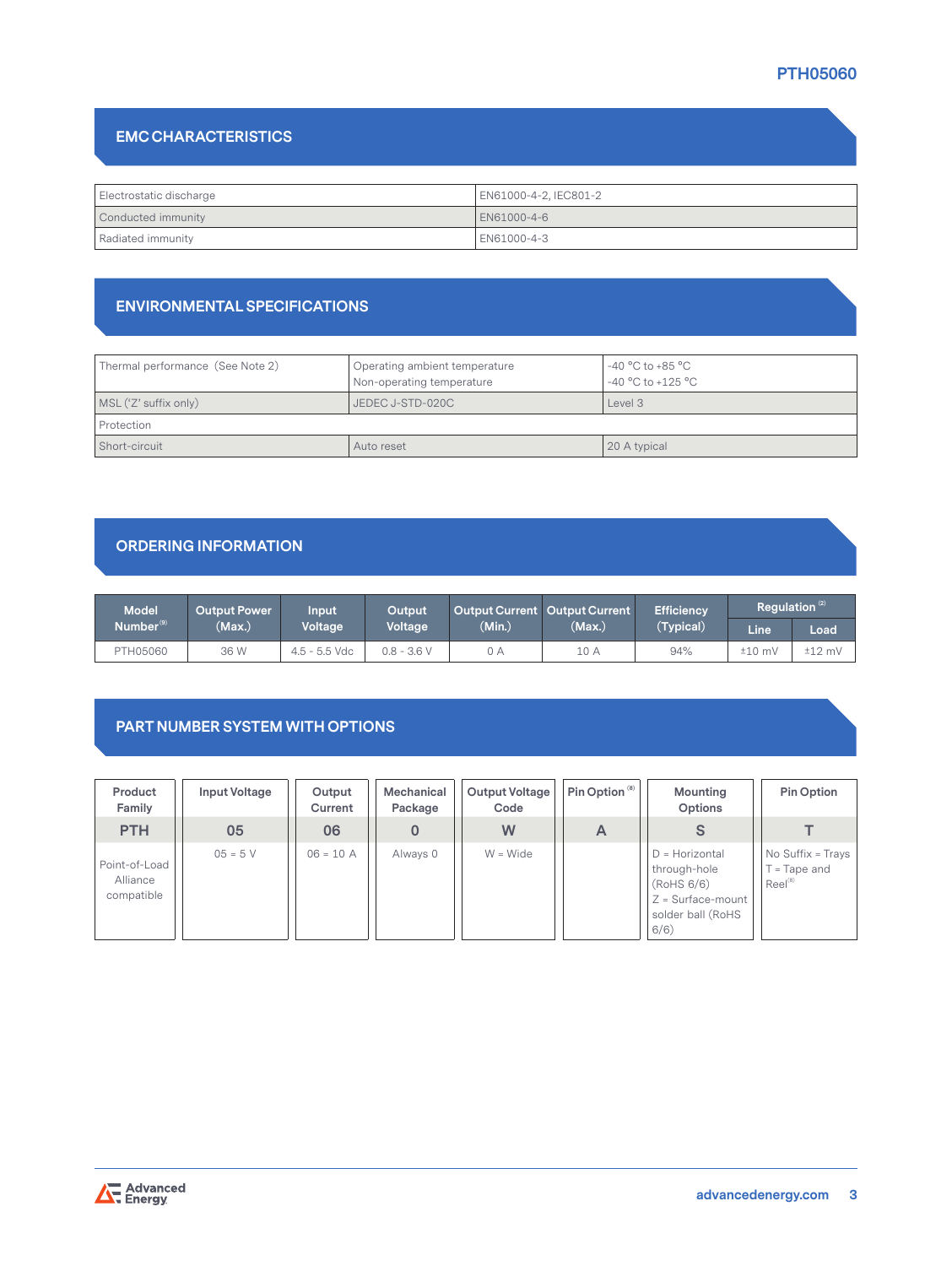# **PTH05060**

# **EMC CHARACTERISTICS**

| Electrostatic discharge | EN61000-4-2, IEC801-2 |  |  |
|-------------------------|-----------------------|--|--|
| Conducted immunity      | EN61000-4-6           |  |  |
| Radiated immunity       | EN61000-4-3           |  |  |

### **ENVIRONMENTAL SPECIFICATIONS**

| Thermal performance (See Note 2) | Operating ambient temperature<br>Non-operating temperature | -40 $^{\circ}$ C to +85 $^{\circ}$ C<br>$-40$ °C to +125 °C |
|----------------------------------|------------------------------------------------------------|-------------------------------------------------------------|
| MSL ('Z' suffix only)            | Level 3<br>JEDEC J-STD-020C                                |                                                             |
| Protection                       |                                                            |                                                             |
| Short-circuit                    | Auto reset                                                 | 20 A typical                                                |

### **ORDERING INFORMATION**

| <b>Model</b>          | Output Power \ | Input           | Output        | Output Current Output Current |        | <b>Efficiency</b> | Requlation $^{(2)}$ |             |
|-----------------------|----------------|-----------------|---------------|-------------------------------|--------|-------------------|---------------------|-------------|
| Number <sup>(9)</sup> | (Max.)         | <b>Voltage</b>  | Voltage       | (Min.)                        | (Max.) | (Typical)         | Line                | <b>Load</b> |
| PTH05060              | 36 W           | $4.5 - 5.5$ Vdc | $0.8 - 3.6 V$ | 0 A                           | 10 A   | 94%               | $±10$ mV            | $±12$ mV    |

### **PART NUMBER SYSTEM WITH OPTIONS**

| Product<br>Family                       | Input Voltage | Output<br>Current | Mechanical<br>Package | <b>Output Voltage</b><br>Code | Pin Option <sup>(8)</sup> | Mounting<br>Options                                                                                 | Pin Option                                      |
|-----------------------------------------|---------------|-------------------|-----------------------|-------------------------------|---------------------------|-----------------------------------------------------------------------------------------------------|-------------------------------------------------|
| <b>PTH</b>                              | 05            | 06                |                       | W                             | A                         |                                                                                                     |                                                 |
| Point-of-Load<br>Alliance<br>compatible | $05 = 5 V$    | $06 = 10 A$       | Always 0              | $W = Wide$                    |                           | $D =$ Horizontal<br>through-hole<br>(RoHS 6/6)<br>$Z = Surface$ -mount<br>solder ball (RoHS<br>6/6) | No Suffix = Trays<br>= Tape and<br>$Reel^{(8)}$ |

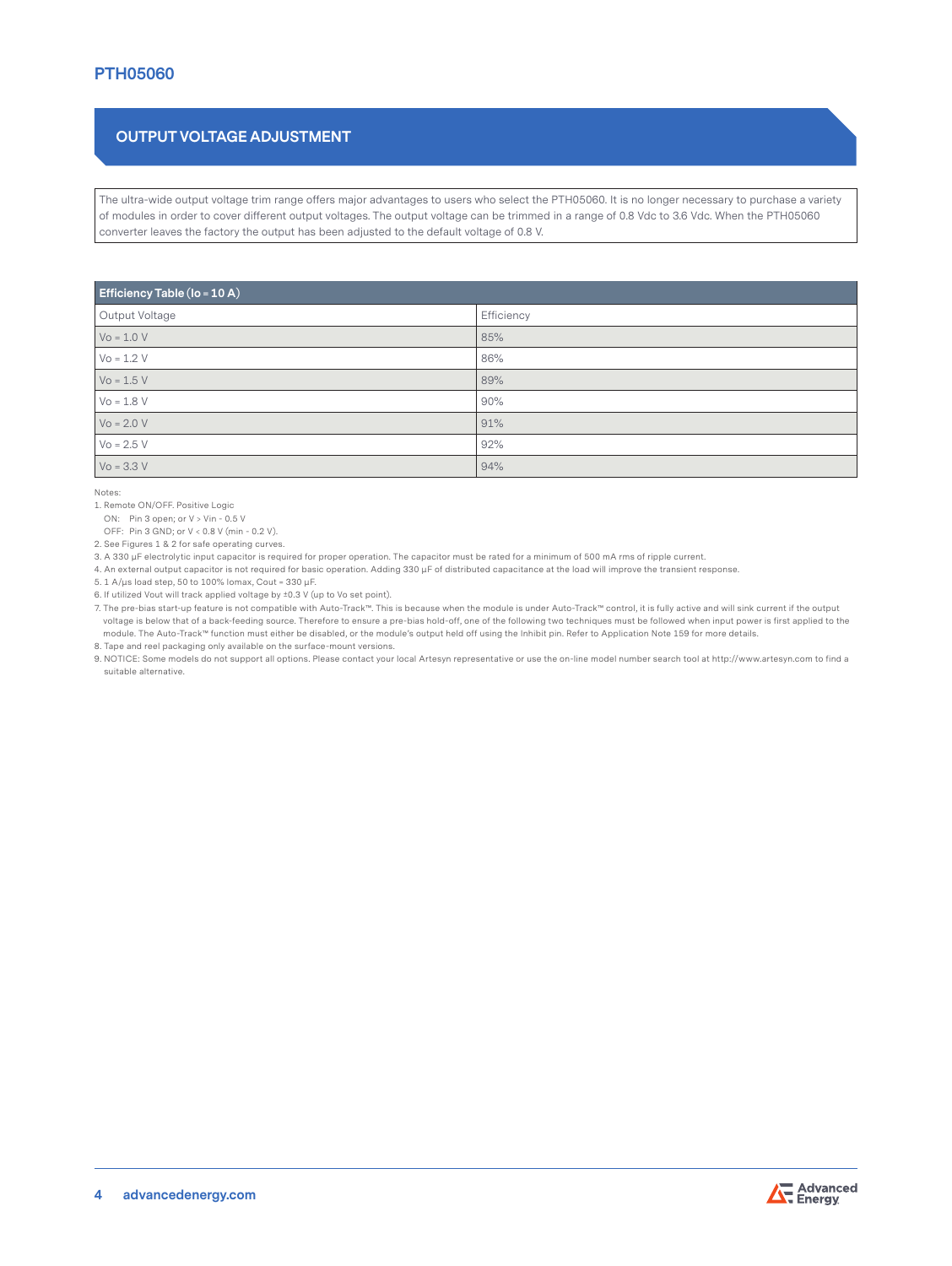# **OUTPUT VOLTAGE ADJUSTMENT**

The ultra-wide output voltage trim range offers major advantages to users who select the PTH05060. It is no longer necessary to purchase a variety of modules in order to cover different output voltages. The output voltage can be trimmed in a range of 0.8 Vdc to 3.6 Vdc. When the PTH05060 converter leaves the factory the output has been adjusted to the default voltage of 0.8 V.

| <b>Efficiency Table (Io = 10 A)</b> |            |  |  |
|-------------------------------------|------------|--|--|
| Output Voltage                      | Efficiency |  |  |
| $Vo = 1.0 V$                        | 85%        |  |  |
| $V_0 = 1.2 V$                       | 86%        |  |  |
| $Vo = 1.5 V$                        | 89%        |  |  |
| $Vo = 1.8 V$                        | 90%        |  |  |
| $V_0 = 2.0 V$                       | 91%        |  |  |
| $V_0 = 2.5 V$                       | 92%        |  |  |
| $Vo = 3.3 V$                        | 94%        |  |  |

Notes:

1. Remote ON/OFF. Positive Logic

ON: Pin 3 open; or V > Vin - 0.5 V

OFF: Pin 3 GND; or V < 0.8 V (min - 0.2 V).

2. See Figures 1 & 2 for safe operating curves.

3. A 330 μF electrolytic input capacitor is required for proper operation. The capacitor must be rated for a minimum of 500 mA rms of ripple current.

4. An external output capacitor is not required for basic operation. Adding 330 μF of distributed capacitance at the load will improve the transient response.

5. 1 A/μs load step, 50 to 100% Iomax, Cout = 330 μF.

6. If utilized Vout will track applied voltage by ±0.3 V (up to Vo set point).

7. The pre-bias start-up feature is not compatible with Auto-Track™. This is because when the module is under Auto-Track™ control, it is fully active and will sink current if the output voltage is below that of a back-feeding source. Therefore to ensure a pre-bias hold-off, one of the following two techniques must be followed when input power is first applied to the module. The Auto-Track™ function must either be disabled, or the module's output held off using the Inhibit pin. Refer to Application Note 159 for more details. 8. Tape and reel packaging only available on the surface-mount versions.

9. NOTICE: Some models do not support all options. Please contact your local Artesyn representative or use the on-line model number search tool at http://www.artesyn.com to find a suitable alternative.

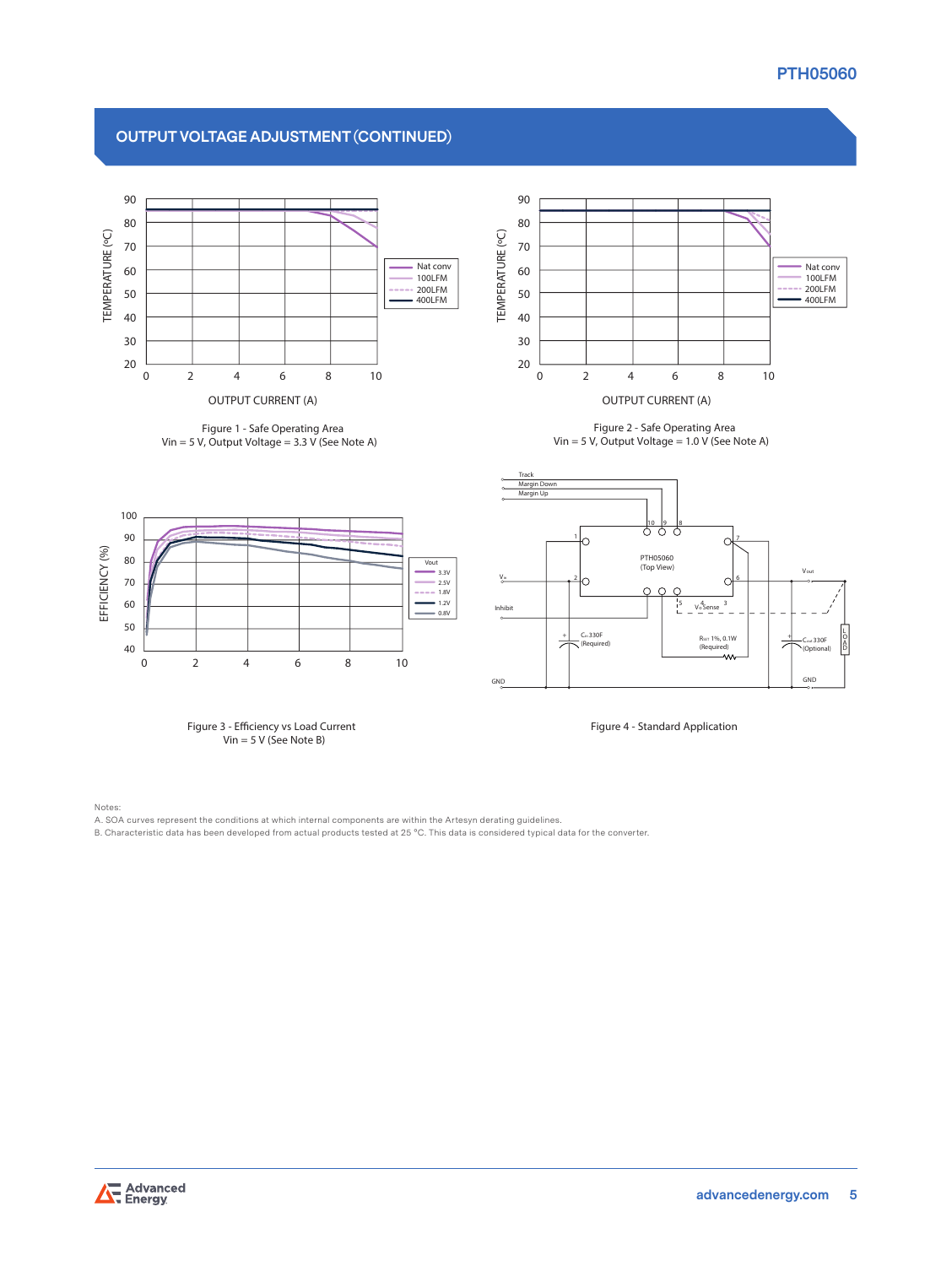# **PTH05060**

# **OUTPUT VOLTAGE ADJUSTMENT (CONTINUED)**



**Figure 1 - Safe Operating Area Vin = 5 V, Output Voltage = 3.3 V (See Note A)**



**Figure 2 - Safe Operating Area Vin = 5 V, Output Voltage = 1.0 V (See Note A)**



Notes:

B. Characteristic data has been developed from actual products tested at 25 °C. This data is considered typical data for the converter.



A. SOA curves represent the conditions at which internal components are within the Artesyn derating guidelines.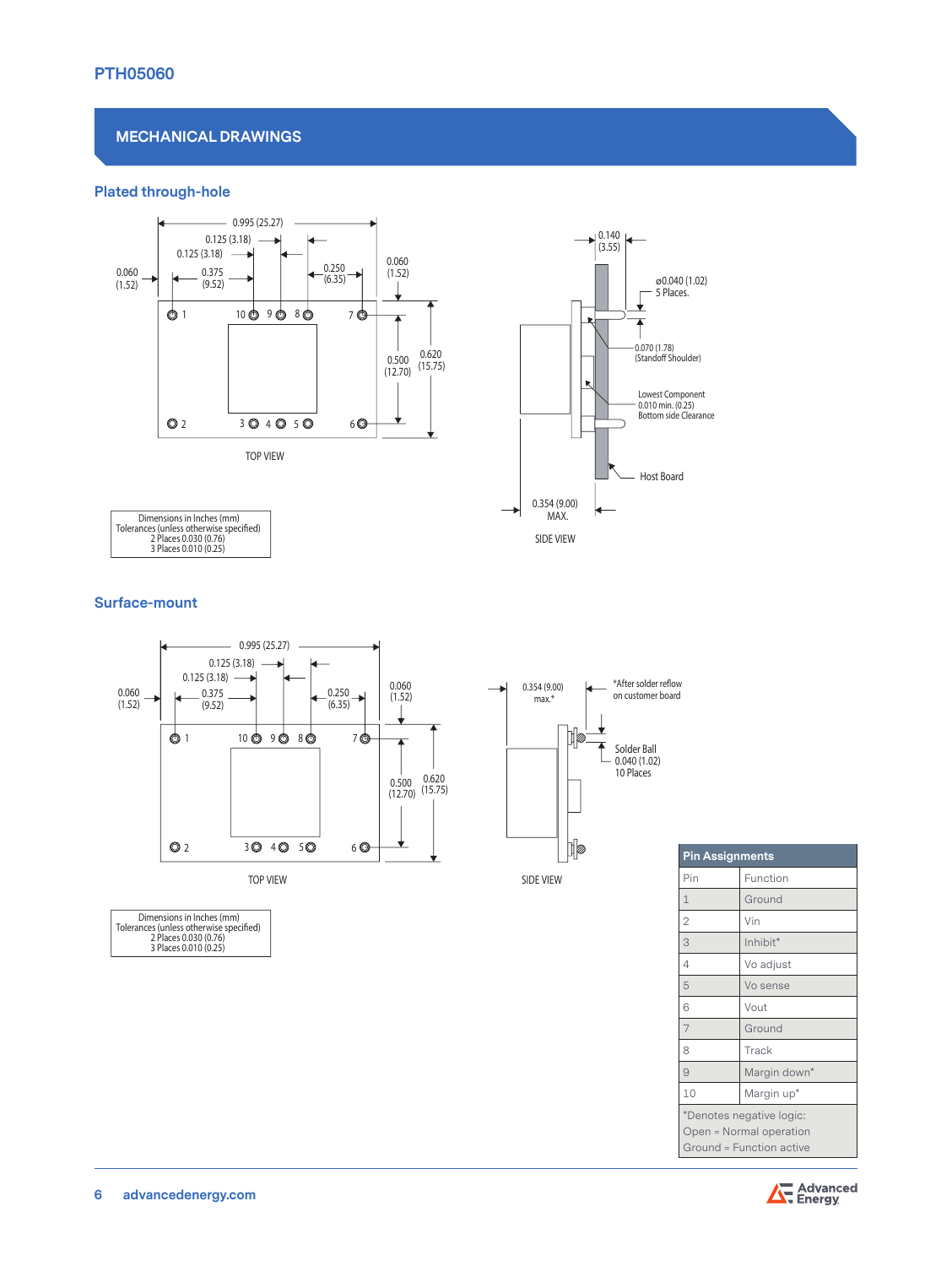#### **MECHANICAL DRAWINGS**

#### **Plated through-hole**





Dimensions in Inches (mm)<br>Tolerances (unless otherwise specified)<br>2 Places 0.030 (0.76)<br>3 Places 0.010 (0.25)

#### **Surface-mount**



| <b>Pin Assignments</b>                                                          |              |  |
|---------------------------------------------------------------------------------|--------------|--|
| Pin                                                                             | Function     |  |
| $\mathbf{1}$                                                                    | Ground       |  |
| $\overline{2}$                                                                  | Vin          |  |
| 3                                                                               | Inhibit*     |  |
| 4                                                                               | Vo adjust    |  |
| 5                                                                               | Vo sense     |  |
| 6                                                                               | Vout         |  |
| $\overline{7}$                                                                  | Ground       |  |
| 8                                                                               | Track        |  |
| 9                                                                               | Margin down* |  |
| 10                                                                              | Margin up*   |  |
| *Denotes negative logic:<br>Open = Normal operation<br>Ground = Function active |              |  |



Dimensions in Inches (mm)<br>Tolerances (unless otherwise specified)<br>2 Places 0.030 (0.76)<br>3 Places 0.010 (0.25)